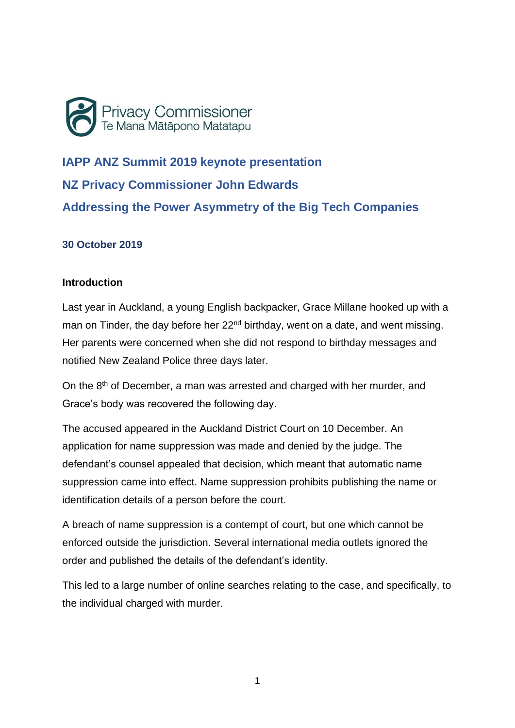

**IAPP ANZ Summit 2019 keynote presentation NZ Privacy Commissioner John Edwards Addressing the Power Asymmetry of the Big Tech Companies**

### **30 October 2019**

### **Introduction**

Last year in Auckland, a young English backpacker, Grace Millane hooked up with a man on Tinder, the day before her 22<sup>nd</sup> birthday, went on a date, and went missing. Her parents were concerned when she did not respond to birthday messages and notified New Zealand Police three days later.

On the 8<sup>th</sup> of December, a man was arrested and charged with her murder, and Grace's body was recovered the following day.

The accused appeared in the Auckland District Court on 10 December. An application for name suppression was made and denied by the judge. The defendant's counsel appealed that decision, which meant that automatic name suppression came into effect. Name suppression prohibits publishing the name or identification details of a person before the court.

A breach of name suppression is a contempt of court, but one which cannot be enforced outside the jurisdiction. Several international media outlets ignored the order and published the details of the defendant's identity.

This led to a large number of online searches relating to the case, and specifically, to the individual charged with murder.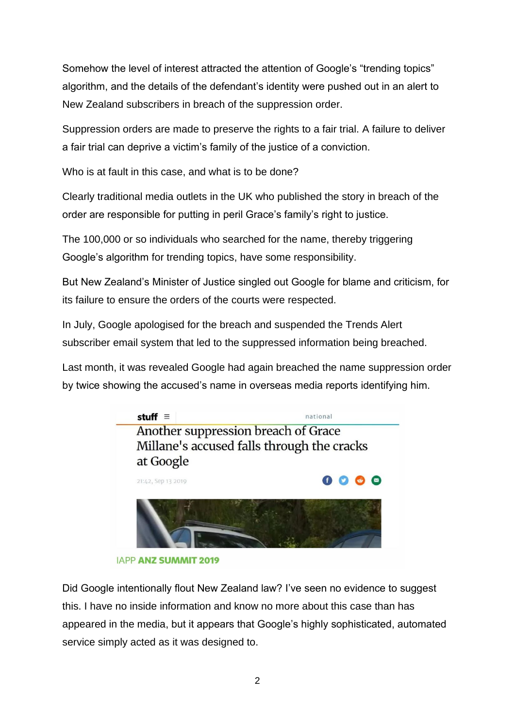Somehow the level of interest attracted the attention of Google's "trending topics" algorithm, and the details of the defendant's identity were pushed out in an alert to New Zealand subscribers in breach of the suppression order.

Suppression orders are made to preserve the rights to a fair trial. A failure to deliver a fair trial can deprive a victim's family of the justice of a conviction.

Who is at fault in this case, and what is to be done?

Clearly traditional media outlets in the UK who published the story in breach of the order are responsible for putting in peril Grace's family's right to justice.

The 100,000 or so individuals who searched for the name, thereby triggering Google's algorithm for trending topics, have some responsibility.

But New Zealand's Minister of Justice singled out Google for blame and criticism, for its failure to ensure the orders of the courts were respected.

In July, Google apologised for the breach and suspended the Trends Alert subscriber email system that led to the suppressed information being breached.

Last month, it was revealed Google had again breached the name suppression order by twice showing the accused's name in overseas media reports identifying him.



**IAPP ANZ SUMMIT 2019** 

Did Google intentionally flout New Zealand law? I've seen no evidence to suggest this. I have no inside information and know no more about this case than has appeared in the media, but it appears that Google's highly sophisticated, automated service simply acted as it was designed to.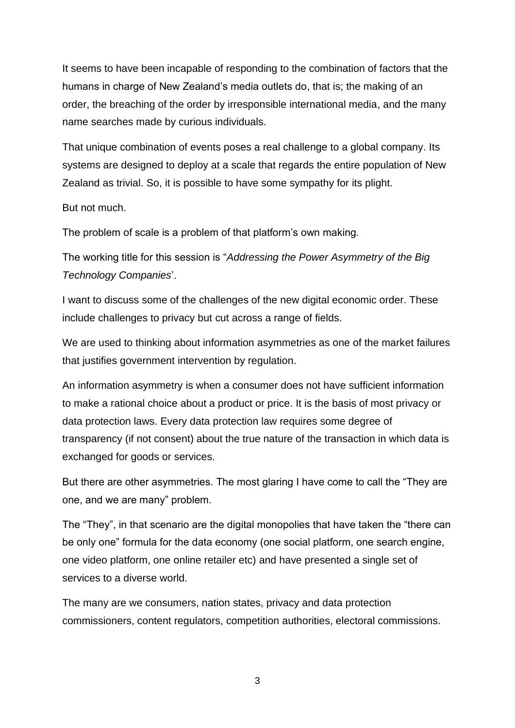It seems to have been incapable of responding to the combination of factors that the humans in charge of New Zealand's media outlets do, that is; the making of an order, the breaching of the order by irresponsible international media, and the many name searches made by curious individuals.

That unique combination of events poses a real challenge to a global company. Its systems are designed to deploy at a scale that regards the entire population of New Zealand as trivial. So, it is possible to have some sympathy for its plight.

#### But not much.

The problem of scale is a problem of that platform's own making.

The working title for this session is "*Addressing the Power Asymmetry of the Big Technology Companies*'.

I want to discuss some of the challenges of the new digital economic order. These include challenges to privacy but cut across a range of fields.

We are used to thinking about information asymmetries as one of the market failures that justifies government intervention by regulation.

An information asymmetry is when a consumer does not have sufficient information to make a rational choice about a product or price. It is the basis of most privacy or data protection laws. Every data protection law requires some degree of transparency (if not consent) about the true nature of the transaction in which data is exchanged for goods or services.

But there are other asymmetries. The most glaring I have come to call the "They are one, and we are many" problem.

The "They", in that scenario are the digital monopolies that have taken the "there can be only one" formula for the data economy (one social platform, one search engine, one video platform, one online retailer etc) and have presented a single set of services to a diverse world.

The many are we consumers, nation states, privacy and data protection commissioners, content regulators, competition authorities, electoral commissions.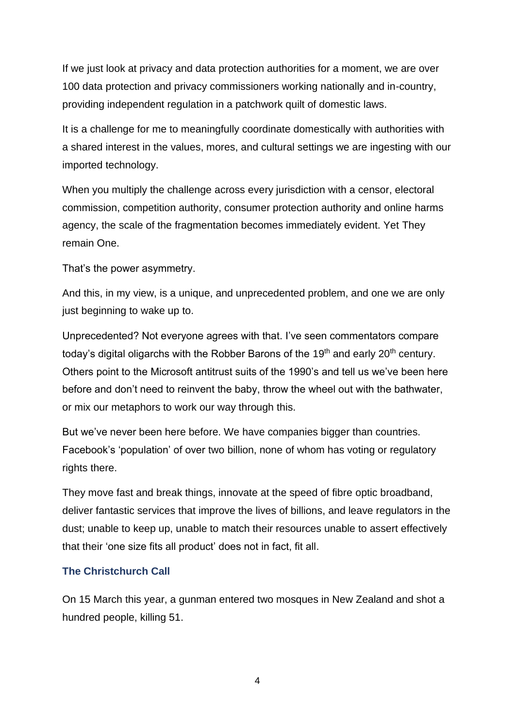If we just look at privacy and data protection authorities for a moment, we are over 100 data protection and privacy commissioners working nationally and in-country, providing independent regulation in a patchwork quilt of domestic laws.

It is a challenge for me to meaningfully coordinate domestically with authorities with a shared interest in the values, mores, and cultural settings we are ingesting with our imported technology.

When you multiply the challenge across every jurisdiction with a censor, electoral commission, competition authority, consumer protection authority and online harms agency, the scale of the fragmentation becomes immediately evident. Yet They remain One.

That's the power asymmetry.

And this, in my view, is a unique, and unprecedented problem, and one we are only just beginning to wake up to.

Unprecedented? Not everyone agrees with that. I've seen commentators compare today's digital oligarchs with the Robber Barons of the 19<sup>th</sup> and early 20<sup>th</sup> century. Others point to the Microsoft antitrust suits of the 1990's and tell us we've been here before and don't need to reinvent the baby, throw the wheel out with the bathwater, or mix our metaphors to work our way through this.

But we've never been here before. We have companies bigger than countries. Facebook's 'population' of over two billion, none of whom has voting or regulatory rights there.

They move fast and break things, innovate at the speed of fibre optic broadband, deliver fantastic services that improve the lives of billions, and leave regulators in the dust; unable to keep up, unable to match their resources unable to assert effectively that their 'one size fits all product' does not in fact, fit all.

# **The Christchurch Call**

On 15 March this year, a gunman entered two mosques in New Zealand and shot a hundred people, killing 51.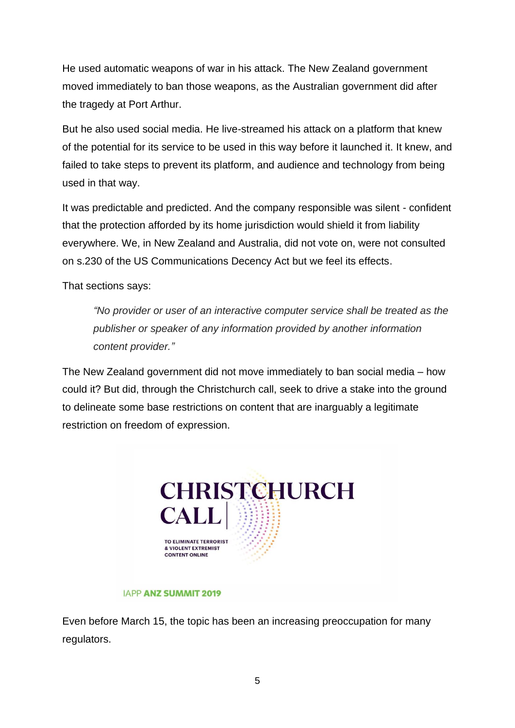He used automatic weapons of war in his attack. The New Zealand government moved immediately to ban those weapons, as the Australian government did after the tragedy at Port Arthur.

But he also used social media. He live-streamed his attack on a platform that knew of the potential for its service to be used in this way before it launched it. It knew, and failed to take steps to prevent its platform, and audience and technology from being used in that way.

It was predictable and predicted. And the company responsible was silent - confident that the protection afforded by its home jurisdiction would shield it from liability everywhere. We, in New Zealand and Australia, did not vote on, were not consulted on s.230 of the US Communications Decency Act but we feel its effects.

That sections says:

*"No provider or user of an interactive computer service shall be treated as the publisher or speaker of any information provided by another information content provider."*

The New Zealand government did not move immediately to ban social media – how could it? But did, through the Christchurch call, seek to drive a stake into the ground to delineate some base restrictions on content that are inarguably a legitimate restriction on freedom of expression.



#### **IAPP ANZ SUMMIT 2019**

Even before March 15, the topic has been an increasing preoccupation for many regulators.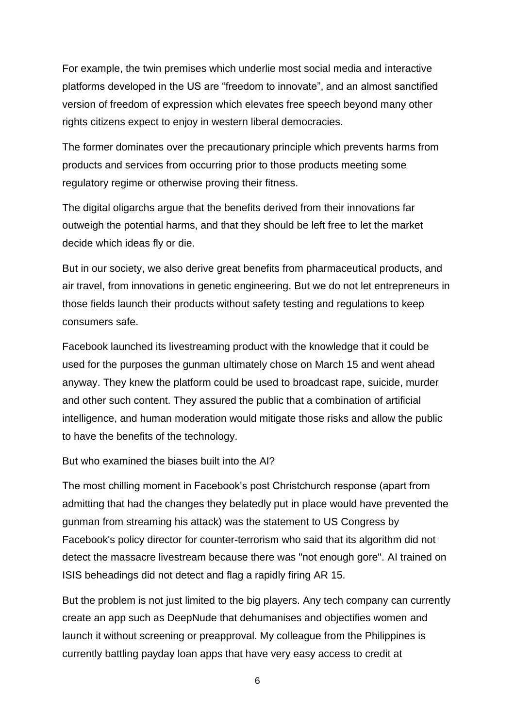For example, the twin premises which underlie most social media and interactive platforms developed in the US are "freedom to innovate", and an almost sanctified version of freedom of expression which elevates free speech beyond many other rights citizens expect to enjoy in western liberal democracies.

The former dominates over the precautionary principle which prevents harms from products and services from occurring prior to those products meeting some regulatory regime or otherwise proving their fitness.

The digital oligarchs argue that the benefits derived from their innovations far outweigh the potential harms, and that they should be left free to let the market decide which ideas fly or die.

But in our society, we also derive great benefits from pharmaceutical products, and air travel, from innovations in genetic engineering. But we do not let entrepreneurs in those fields launch their products without safety testing and regulations to keep consumers safe.

Facebook launched its livestreaming product with the knowledge that it could be used for the purposes the gunman ultimately chose on March 15 and went ahead anyway. They knew the platform could be used to broadcast rape, suicide, murder and other such content. They assured the public that a combination of artificial intelligence, and human moderation would mitigate those risks and allow the public to have the benefits of the technology.

But who examined the biases built into the AI?

The most chilling moment in Facebook's post Christchurch response (apart from admitting that had the changes they belatedly put in place would have prevented the gunman from streaming his attack) was the statement to US Congress by Facebook's policy director for counter-terrorism who said that its algorithm did not detect the massacre livestream because there was "not enough gore". AI trained on ISIS beheadings did not detect and flag a rapidly firing AR 15.

But the problem is not just limited to the big players. Any tech company can currently create an app such as DeepNude that dehumanises and objectifies women and launch it without screening or preapproval. My colleague from the Philippines is currently battling payday loan apps that have very easy access to credit at

6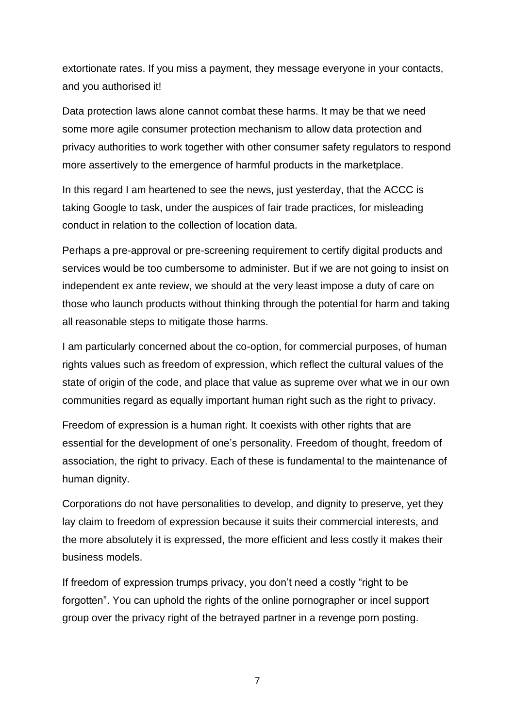extortionate rates. If you miss a payment, they message everyone in your contacts, and you authorised it!

Data protection laws alone cannot combat these harms. It may be that we need some more agile consumer protection mechanism to allow data protection and privacy authorities to work together with other consumer safety regulators to respond more assertively to the emergence of harmful products in the marketplace.

In this regard I am heartened to see the news, just yesterday, that the ACCC is taking Google to task, under the auspices of fair trade practices, for misleading conduct in relation to the collection of location data.

Perhaps a pre-approval or pre-screening requirement to certify digital products and services would be too cumbersome to administer. But if we are not going to insist on independent ex ante review, we should at the very least impose a duty of care on those who launch products without thinking through the potential for harm and taking all reasonable steps to mitigate those harms.

I am particularly concerned about the co-option, for commercial purposes, of human rights values such as freedom of expression, which reflect the cultural values of the state of origin of the code, and place that value as supreme over what we in our own communities regard as equally important human right such as the right to privacy.

Freedom of expression is a human right. It coexists with other rights that are essential for the development of one's personality. Freedom of thought, freedom of association, the right to privacy. Each of these is fundamental to the maintenance of human dignity.

Corporations do not have personalities to develop, and dignity to preserve, yet they lay claim to freedom of expression because it suits their commercial interests, and the more absolutely it is expressed, the more efficient and less costly it makes their business models.

If freedom of expression trumps privacy, you don't need a costly "right to be forgotten". You can uphold the rights of the online pornographer or incel support group over the privacy right of the betrayed partner in a revenge porn posting.

7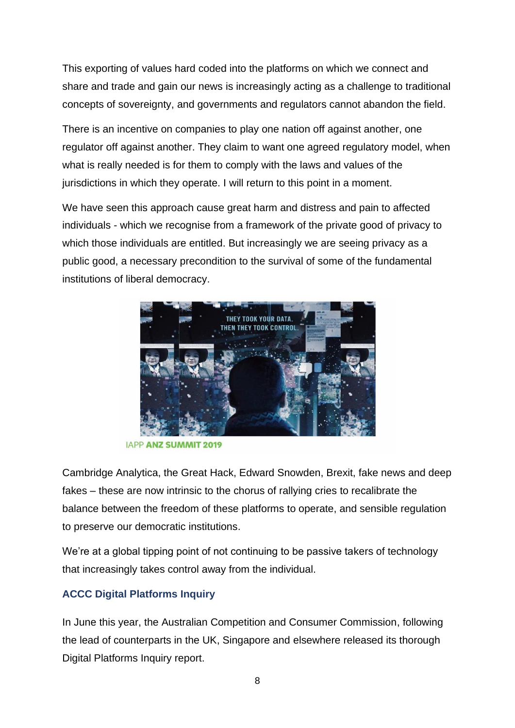This exporting of values hard coded into the platforms on which we connect and share and trade and gain our news is increasingly acting as a challenge to traditional concepts of sovereignty, and governments and regulators cannot abandon the field.

There is an incentive on companies to play one nation off against another, one regulator off against another. They claim to want one agreed regulatory model, when what is really needed is for them to comply with the laws and values of the jurisdictions in which they operate. I will return to this point in a moment.

We have seen this approach cause great harm and distress and pain to affected individuals - which we recognise from a framework of the private good of privacy to which those individuals are entitled. But increasingly we are seeing privacy as a public good, a necessary precondition to the survival of some of the fundamental institutions of liberal democracy.



**IAPP ANZ SUMMIT 2019** 

Cambridge Analytica, the Great Hack, Edward Snowden, Brexit, fake news and deep fakes – these are now intrinsic to the chorus of rallying cries to recalibrate the balance between the freedom of these platforms to operate, and sensible regulation to preserve our democratic institutions.

We're at a global tipping point of not continuing to be passive takers of technology that increasingly takes control away from the individual.

# **ACCC Digital Platforms Inquiry**

In June this year, the Australian Competition and Consumer Commission, following the lead of counterparts in the UK, Singapore and elsewhere released its thorough Digital Platforms Inquiry report.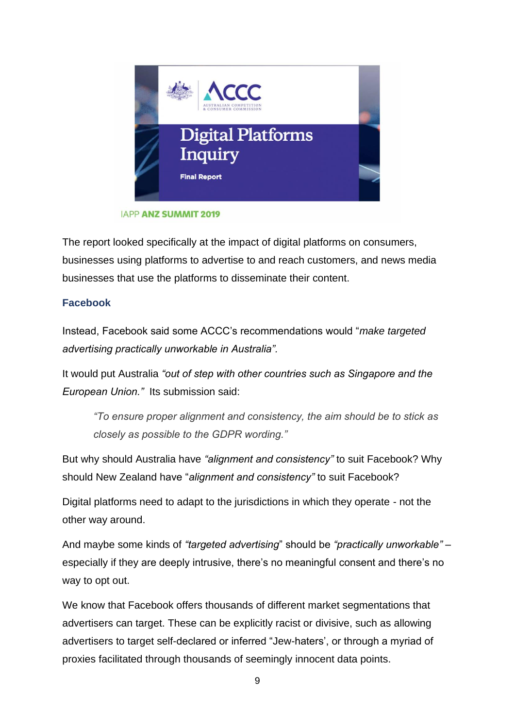

**IAPP ANZ SUMMIT 2019** 

The report looked specifically at the impact of digital platforms on consumers, businesses using platforms to advertise to and reach customers, and news media businesses that use the platforms to disseminate their content.

# **Facebook**

Instead, Facebook said some ACCC's recommendations would "*make targeted advertising practically unworkable in Australia".*

It would put Australia *"out of step with other countries such as Singapore and the European Union."* Its submission said:

*"To ensure proper alignment and consistency, the aim should be to stick as closely as possible to the GDPR wording."*

But why should Australia have *"alignment and consistency"* to suit Facebook? Why should New Zealand have "*alignment and consistency"* to suit Facebook?

Digital platforms need to adapt to the jurisdictions in which they operate - not the other way around.

And maybe some kinds of *"targeted advertising*" should be *"practically unworkable"* – especially if they are deeply intrusive, there's no meaningful consent and there's no way to opt out.

We know that Facebook offers thousands of different market segmentations that advertisers can target. These can be explicitly racist or divisive, such as allowing advertisers to target self-declared or inferred "Jew-haters', or through a myriad of proxies facilitated through thousands of seemingly innocent data points.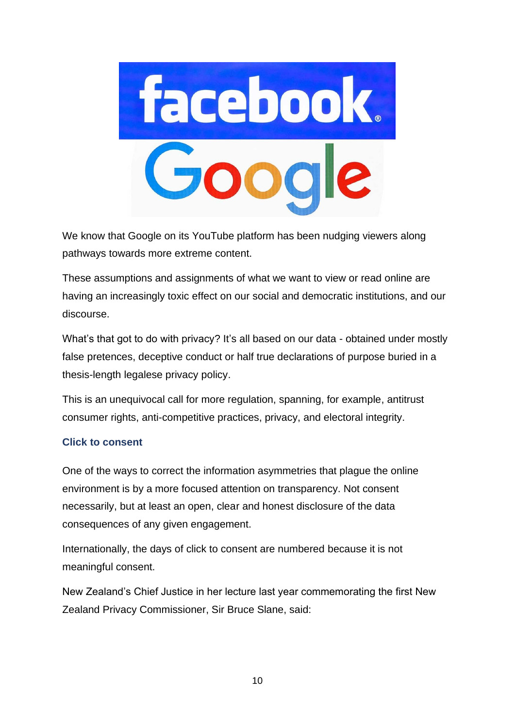

We know that Google on its YouTube platform has been nudging viewers along pathways towards more extreme content.

These assumptions and assignments of what we want to view or read online are having an increasingly toxic effect on our social and democratic institutions, and our discourse.

What's that got to do with privacy? It's all based on our data - obtained under mostly false pretences, deceptive conduct or half true declarations of purpose buried in a thesis-length legalese privacy policy.

This is an unequivocal call for more regulation, spanning, for example, antitrust consumer rights, anti-competitive practices, privacy, and electoral integrity.

# **Click to consent**

One of the ways to correct the information asymmetries that plague the online environment is by a more focused attention on transparency. Not consent necessarily, but at least an open, clear and honest disclosure of the data consequences of any given engagement.

Internationally, the days of click to consent are numbered because it is not meaningful consent.

New Zealand's Chief Justice in her lecture last year commemorating the first New Zealand Privacy Commissioner, Sir Bruce Slane, said: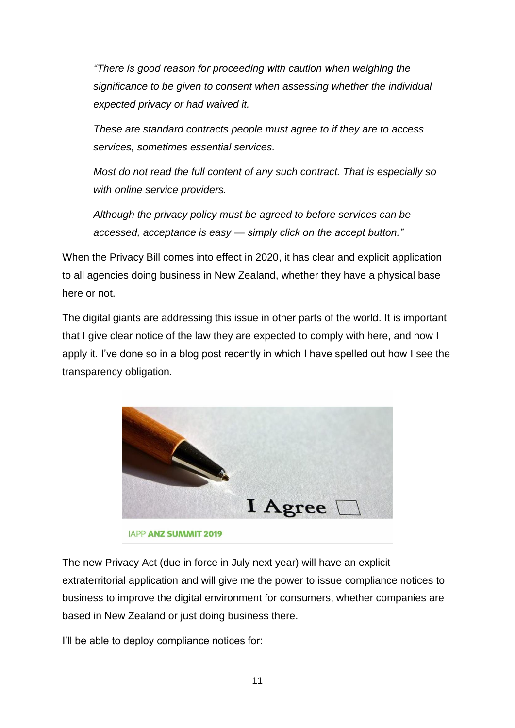*"There is good reason for proceeding with caution when weighing the significance to be given to consent when assessing whether the individual expected privacy or had waived it.* 

*These are standard contracts people must agree to if they are to access services, sometimes essential services.* 

*Most do not read the full content of any such contract. That is especially so with online service providers.* 

*Although the privacy policy must be agreed to before services can be accessed, acceptance is easy — simply click on the accept button."*

When the Privacy Bill comes into effect in 2020, it has clear and explicit application to all agencies doing business in New Zealand, whether they have a physical base here or not.

The digital giants are addressing this issue in other parts of the world. It is important that I give clear notice of the law they are expected to comply with here, and how I apply it. I've done so in a blog post recently in which I have spelled out how I see the transparency obligation.



The new Privacy Act (due in force in July next year) will have an explicit extraterritorial application and will give me the power to issue compliance notices to business to improve the digital environment for consumers, whether companies are based in New Zealand or just doing business there.

I'll be able to deploy compliance notices for: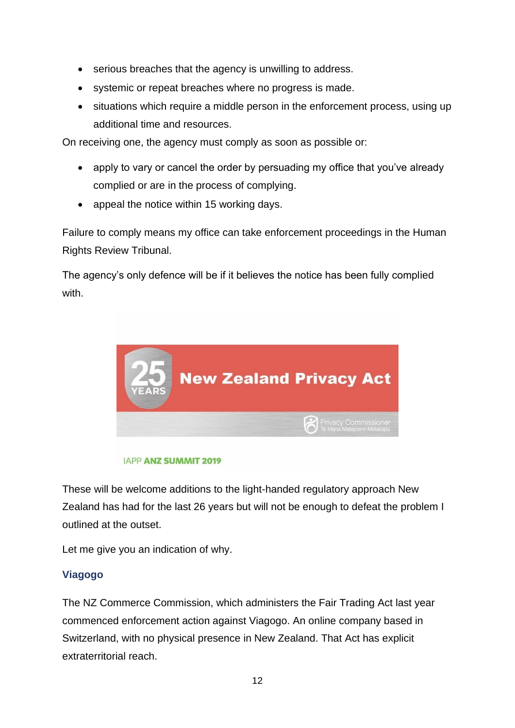- serious breaches that the agency is unwilling to address.
- systemic or repeat breaches where no progress is made.
- situations which require a middle person in the enforcement process, using up additional time and resources.

On receiving one, the agency must comply as soon as possible or:

- apply to vary or cancel the order by persuading my office that you've already complied or are in the process of complying.
- appeal the notice within 15 working days.

Failure to comply means my office can take enforcement proceedings in the Human Rights Review Tribunal.

The agency's only defence will be if it believes the notice has been fully complied with.



### **IAPP ANZ SUMMIT 2019**

These will be welcome additions to the light-handed regulatory approach New Zealand has had for the last 26 years but will not be enough to defeat the problem I outlined at the outset.

Let me give you an indication of why.

# **Viagogo**

The NZ Commerce Commission, which administers the Fair Trading Act last year commenced enforcement action against Viagogo. An online company based in Switzerland, with no physical presence in New Zealand. That Act has explicit extraterritorial reach.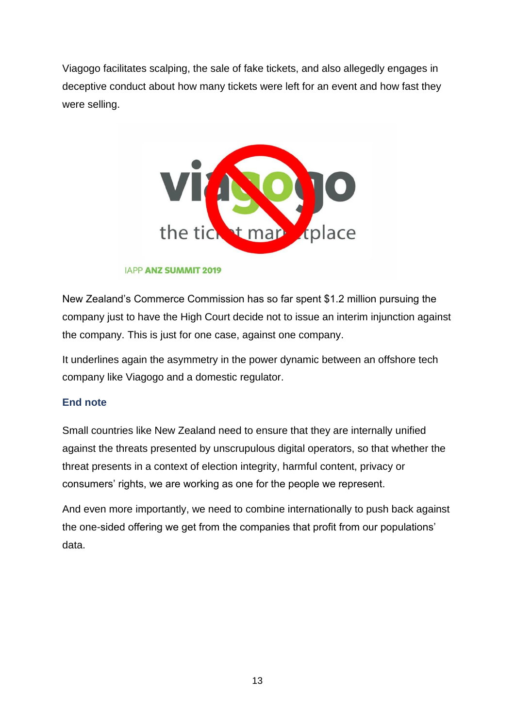Viagogo facilitates scalping, the sale of fake tickets, and also allegedly engages in deceptive conduct about how many tickets were left for an event and how fast they were selling.



### **IAPP ANZ SUMMIT 2019**

New Zealand's Commerce Commission has so far spent \$1.2 million pursuing the company just to have the High Court decide not to issue an interim injunction against the company. This is just for one case, against one company.

It underlines again the asymmetry in the power dynamic between an offshore tech company like Viagogo and a domestic regulator.

### **End note**

Small countries like New Zealand need to ensure that they are internally unified against the threats presented by unscrupulous digital operators, so that whether the threat presents in a context of election integrity, harmful content, privacy or consumers' rights, we are working as one for the people we represent.

And even more importantly, we need to combine internationally to push back against the one-sided offering we get from the companies that profit from our populations' data.